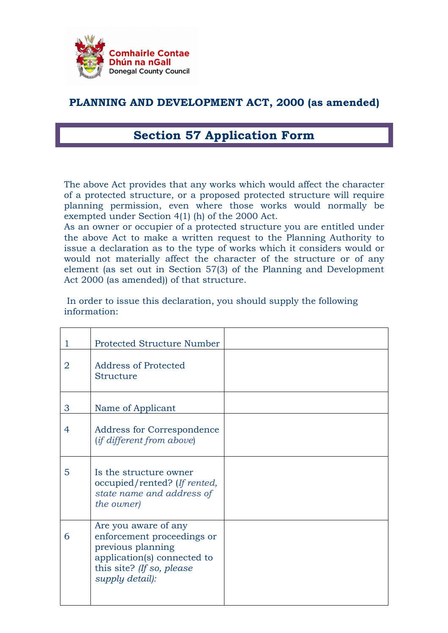

## PLANNING AND DEVELOPMENT ACT, 2000 (as amended)

## Section 57 Application Form

The above Act provides that any works which would affect the character of a protected structure, or a proposed protected structure will require planning permission, even where those works would normally be exempted under Section 4(1) (h) of the 2000 Act.

As an owner or occupier of a protected structure you are entitled under the above Act to make a written request to the Planning Authority to issue a declaration as to the type of works which it considers would or would not materially affect the character of the structure or of any element (as set out in Section 57(3) of the Planning and Development Act 2000 (as amended)) of that structure.

 In order to issue this declaration, you should supply the following information:

| 1              | <b>Protected Structure Number</b>                                                                                                                      |  |
|----------------|--------------------------------------------------------------------------------------------------------------------------------------------------------|--|
| $\overline{2}$ | <b>Address of Protected</b><br><b>Structure</b>                                                                                                        |  |
| 3              | Name of Applicant                                                                                                                                      |  |
| $\overline{4}$ | Address for Correspondence<br><i>(if different from above)</i>                                                                                         |  |
| 5              | Is the structure owner<br>occupied/rented? (If rented,<br>state name and address of<br>the owner)                                                      |  |
| 6              | Are you aware of any<br>enforcement proceedings or<br>previous planning<br>application(s) connected to<br>this site? (If so, please<br>supply detail): |  |